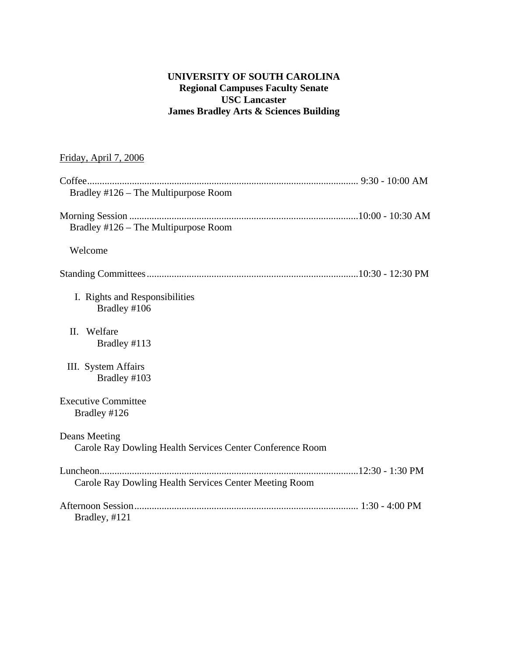# **UNIVERSITY OF SOUTH CAROLINA Regional Campuses Faculty Senate USC Lancaster James Bradley Arts & Sciences Building**

# Friday, April 7, 2006

| Bradley #126 - The Multipurpose Room                                       |  |
|----------------------------------------------------------------------------|--|
| Bradley #126 – The Multipurpose Room                                       |  |
| Welcome                                                                    |  |
|                                                                            |  |
| I. Rights and Responsibilities<br>Bradley #106                             |  |
| Welfare<br>П.<br>Bradley #113                                              |  |
| III. System Affairs<br>Bradley #103                                        |  |
| <b>Executive Committee</b><br>Bradley #126                                 |  |
| Deans Meeting<br>Carole Ray Dowling Health Services Center Conference Room |  |
| Carole Ray Dowling Health Services Center Meeting Room                     |  |
| Bradley, #121                                                              |  |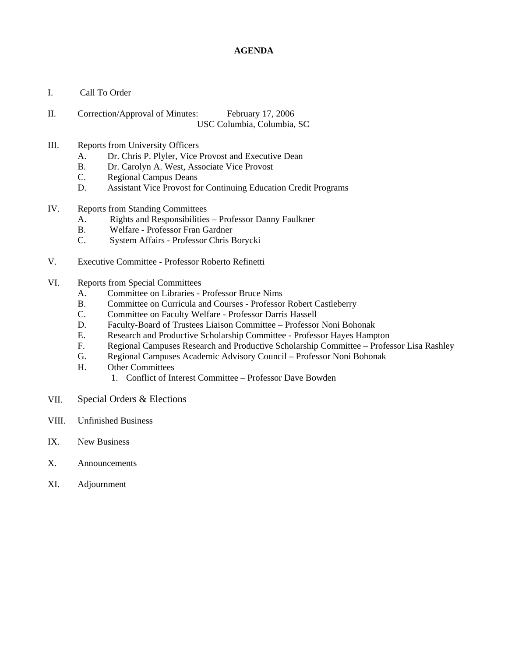## **AGENDA**

- I. Call To Order
- II. Correction/Approval of Minutes: February 17, 2006 USC Columbia, Columbia, SC

### III. Reports from University Officers

- A. Dr. Chris P. Plyler, Vice Provost and Executive Dean
- B. Dr. Carolyn A. West, Associate Vice Provost
- C. Regional Campus Deans
- D. Assistant Vice Provost for Continuing Education Credit Programs
- IV. Reports from Standing Committees
	- A. Rights and Responsibilities Professor Danny Faulkner
	- B. Welfare Professor Fran Gardner
	- C. System Affairs Professor Chris Borycki
- V. Executive Committee Professor Roberto Refinetti
- VI. Reports from Special Committees
	- A. Committee on Libraries Professor Bruce Nims
	- B. Committee on Curricula and Courses Professor Robert Castleberry
	- C. Committee on Faculty Welfare Professor Darris Hassell
	- D. Faculty-Board of Trustees Liaison Committee Professor Noni Bohonak
	- E. Research and Productive Scholarship Committee Professor Hayes Hampton
	- F. Regional Campuses Research and Productive Scholarship Committee Professor Lisa Rashley
	- G. Regional Campuses Academic Advisory Council Professor Noni Bohonak
	- H. Other Committees
		- 1. Conflict of Interest Committee Professor Dave Bowden
- VII. Special Orders & Elections
- VIII. Unfinished Business
- IX. New Business
- X. Announcements
- XI. Adjournment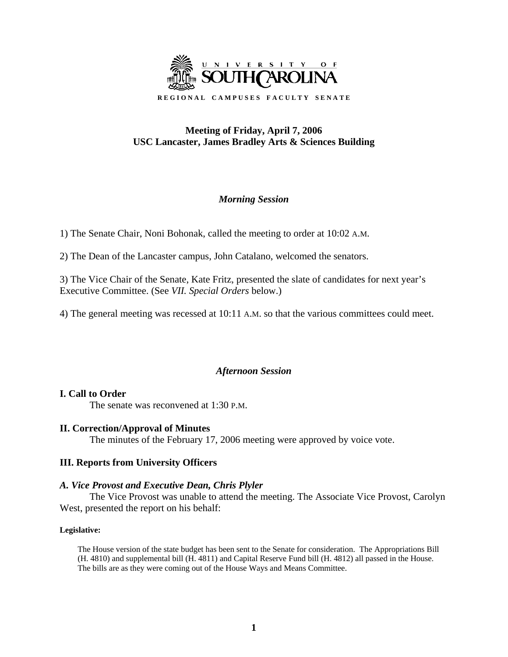

# **Meeting of Friday, April 7, 2006 USC Lancaster, James Bradley Arts & Sciences Building**

# *Morning Session*

1) The Senate Chair, Noni Bohonak, called the meeting to order at 10:02 A.M.

2) The Dean of the Lancaster campus, John Catalano, welcomed the senators.

3) The Vice Chair of the Senate, Kate Fritz, presented the slate of candidates for next year's Executive Committee. (See *VII. Special Orders* below.)

4) The general meeting was recessed at 10:11 A.M. so that the various committees could meet.

# *Afternoon Session*

# **I. Call to Order**

The senate was reconvened at 1:30 P.M.

# **II. Correction/Approval of Minutes**

The minutes of the February 17, 2006 meeting were approved by voice vote.

# **III. Reports from University Officers**

# *A. Vice Provost and Executive Dean, Chris Plyler*

The Vice Provost was unable to attend the meeting. The Associate Vice Provost, Carolyn West, presented the report on his behalf:

## **Legislative:**

The House version of the state budget has been sent to the Senate for consideration. The Appropriations Bill (H. 4810) and supplemental bill (H. 4811) and Capital Reserve Fund bill (H. 4812) all passed in the House. The bills are as they were coming out of the House Ways and Means Committee.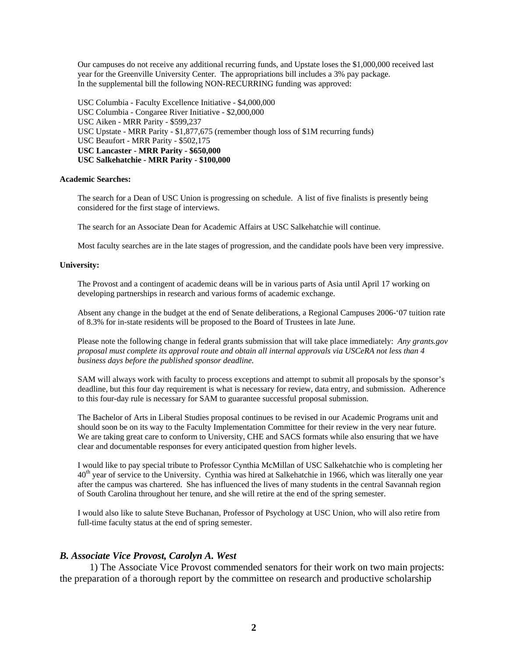Our campuses do not receive any additional recurring funds, and Upstate loses the \$1,000,000 received last year for the Greenville University Center. The appropriations bill includes a 3% pay package. In the supplemental bill the following NON-RECURRING funding was approved:

USC Columbia - Faculty Excellence Initiative - \$4,000,000 USC Columbia - Congaree River Initiative - \$2,000,000 USC Aiken - MRR Parity - \$599,237 USC Upstate - MRR Parity - \$1,877,675 (remember though loss of \$1M recurring funds) USC Beaufort - MRR Parity - \$502,175 **USC Lancaster - MRR Parity - \$650,000 USC Salkehatchie - MRR Parity - \$100,000** 

#### **Academic Searches:**

The search for a Dean of USC Union is progressing on schedule. A list of five finalists is presently being considered for the first stage of interviews.

The search for an Associate Dean for Academic Affairs at USC Salkehatchie will continue.

Most faculty searches are in the late stages of progression, and the candidate pools have been very impressive.

#### **University:**

The Provost and a contingent of academic deans will be in various parts of Asia until April 17 working on developing partnerships in research and various forms of academic exchange.

Absent any change in the budget at the end of Senate deliberations, a Regional Campuses 2006-'07 tuition rate of 8.3% for in-state residents will be proposed to the Board of Trustees in late June.

Please note the following change in federal grants submission that will take place immediately: *Any grants.gov proposal must complete its approval route and obtain all internal approvals via USCeRA not less than 4 business days before the published sponsor deadline.* 

SAM will always work with faculty to process exceptions and attempt to submit all proposals by the sponsor's deadline, but this four day requirement is what is necessary for review, data entry, and submission. Adherence to this four-day rule is necessary for SAM to guarantee successful proposal submission.

The Bachelor of Arts in Liberal Studies proposal continues to be revised in our Academic Programs unit and should soon be on its way to the Faculty Implementation Committee for their review in the very near future. We are taking great care to conform to University, CHE and SACS formats while also ensuring that we have clear and documentable responses for every anticipated question from higher levels.

I would like to pay special tribute to Professor Cynthia McMillan of USC Salkehatchie who is completing her 40<sup>th</sup> year of service to the University. Cynthia was hired at Salkehatchie in 1966, which was literally one year after the campus was chartered. She has influenced the lives of many students in the central Savannah region of South Carolina throughout her tenure, and she will retire at the end of the spring semester.

I would also like to salute Steve Buchanan, Professor of Psychology at USC Union, who will also retire from full-time faculty status at the end of spring semester.

## *B. Associate Vice Provost, Carolyn A. West*

1) The Associate Vice Provost commended senators for their work on two main projects: the preparation of a thorough report by the committee on research and productive scholarship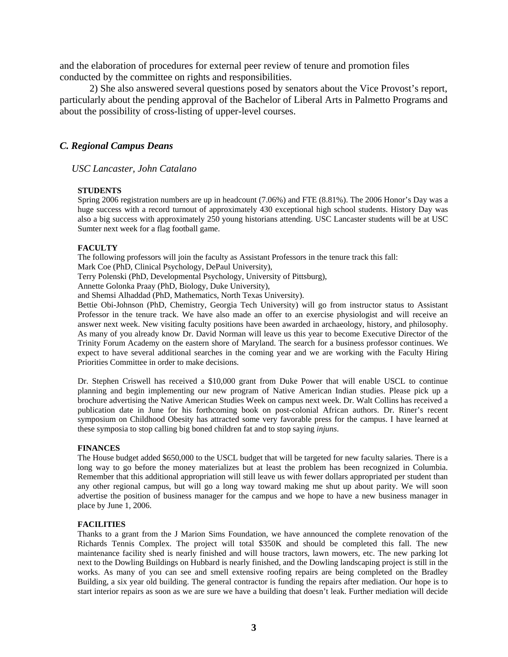and the elaboration of procedures for external peer review of tenure and promotion files conducted by the committee on rights and responsibilities.

2) She also answered several questions posed by senators about the Vice Provost's report, particularly about the pending approval of the Bachelor of Liberal Arts in Palmetto Programs and about the possibility of cross-listing of upper-level courses.

#### *C. Regional Campus Deans*

*USC Lancaster, John Catalano* 

#### **STUDENTS**

Spring 2006 registration numbers are up in headcount (7.06%) and FTE (8.81%). The 2006 Honor's Day was a huge success with a record turnout of approximately 430 exceptional high school students. History Day was also a big success with approximately 250 young historians attending. USC Lancaster students will be at USC Sumter next week for a flag football game.

#### **FACULTY**

The following professors will join the faculty as Assistant Professors in the tenure track this fall: Mark Coe (PhD, Clinical Psychology, DePaul University),

Terry Polenski (PhD, Developmental Psychology, University of Pittsburg),

Annette Golonka Praay (PhD, Biology, Duke University),

and Shemsi Alhaddad (PhD, Mathematics, North Texas University).

Bettie Obi-Johnson (PhD, Chemistry, Georgia Tech University) will go from instructor status to Assistant Professor in the tenure track. We have also made an offer to an exercise physiologist and will receive an answer next week. New visiting faculty positions have been awarded in archaeology, history, and philosophy. As many of you already know Dr. David Norman will leave us this year to become Executive Director of the Trinity Forum Academy on the eastern shore of Maryland. The search for a business professor continues. We expect to have several additional searches in the coming year and we are working with the Faculty Hiring Priorities Committee in order to make decisions.

Dr. Stephen Criswell has received a \$10,000 grant from Duke Power that will enable USCL to continue planning and begin implementing our new program of Native American Indian studies. Please pick up a brochure advertising the Native American Studies Week on campus next week. Dr. Walt Collins has received a publication date in June for his forthcoming book on post-colonial African authors. Dr. Riner's recent symposium on Childhood Obesity has attracted some very favorable press for the campus. I have learned at these symposia to stop calling big boned children fat and to stop saying *injuns*.

#### **FINANCES**

The House budget added \$650,000 to the USCL budget that will be targeted for new faculty salaries. There is a long way to go before the money materializes but at least the problem has been recognized in Columbia. Remember that this additional appropriation will still leave us with fewer dollars appropriated per student than any other regional campus, but will go a long way toward making me shut up about parity. We will soon advertise the position of business manager for the campus and we hope to have a new business manager in place by June 1, 2006.

#### **FACILITIES**

Thanks to a grant from the J Marion Sims Foundation, we have announced the complete renovation of the Richards Tennis Complex. The project will total \$350K and should be completed this fall. The new maintenance facility shed is nearly finished and will house tractors, lawn mowers, etc. The new parking lot next to the Dowling Buildings on Hubbard is nearly finished, and the Dowling landscaping project is still in the works. As many of you can see and smell extensive roofing repairs are being completed on the Bradley Building, a six year old building. The general contractor is funding the repairs after mediation. Our hope is to start interior repairs as soon as we are sure we have a building that doesn't leak. Further mediation will decide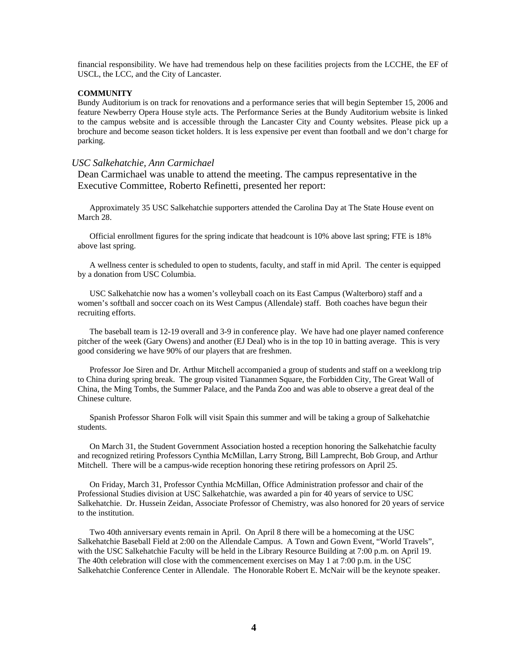financial responsibility. We have had tremendous help on these facilities projects from the LCCHE, the EF of USCL, the LCC, and the City of Lancaster.

#### **COMMUNITY**

Bundy Auditorium is on track for renovations and a performance series that will begin September 15, 2006 and feature Newberry Opera House style acts. The Performance Series at the Bundy Auditorium website is linked to the campus website and is accessible through the Lancaster City and County websites. Please pick up a brochure and become season ticket holders. It is less expensive per event than football and we don't charge for parking.

#### *USC Salkehatchie, Ann Carmichael*

Dean Carmichael was unable to attend the meeting. The campus representative in the Executive Committee, Roberto Refinetti, presented her report:

 Approximately 35 USC Salkehatchie supporters attended the Carolina Day at The State House event on March 28.

 Official enrollment figures for the spring indicate that headcount is 10% above last spring; FTE is 18% above last spring.

 A wellness center is scheduled to open to students, faculty, and staff in mid April. The center is equipped by a donation from USC Columbia.

 USC Salkehatchie now has a women's volleyball coach on its East Campus (Walterboro) staff and a women's softball and soccer coach on its West Campus (Allendale) staff. Both coaches have begun their recruiting efforts.

 The baseball team is 12-19 overall and 3-9 in conference play. We have had one player named conference pitcher of the week (Gary Owens) and another (EJ Deal) who is in the top 10 in batting average. This is very good considering we have 90% of our players that are freshmen.

 Professor Joe Siren and Dr. Arthur Mitchell accompanied a group of students and staff on a weeklong trip to China during spring break. The group visited Tiananmen Square, the Forbidden City, The Great Wall of China, the Ming Tombs, the Summer Palace, and the Panda Zoo and was able to observe a great deal of the Chinese culture.

 Spanish Professor Sharon Folk will visit Spain this summer and will be taking a group of Salkehatchie students.

 On March 31, the Student Government Association hosted a reception honoring the Salkehatchie faculty and recognized retiring Professors Cynthia McMillan, Larry Strong, Bill Lamprecht, Bob Group, and Arthur Mitchell. There will be a campus-wide reception honoring these retiring professors on April 25.

 On Friday, March 31, Professor Cynthia McMillan, Office Administration professor and chair of the Professional Studies division at USC Salkehatchie, was awarded a pin for 40 years of service to USC Salkehatchie. Dr. Hussein Zeidan, Associate Professor of Chemistry, was also honored for 20 years of service to the institution.

 Two 40th anniversary events remain in April. On April 8 there will be a homecoming at the USC Salkehatchie Baseball Field at 2:00 on the Allendale Campus. A Town and Gown Event, "World Travels", with the USC Salkehatchie Faculty will be held in the Library Resource Building at 7:00 p.m. on April 19. The 40th celebration will close with the commencement exercises on May 1 at 7:00 p.m. in the USC Salkehatchie Conference Center in Allendale. The Honorable Robert E. McNair will be the keynote speaker.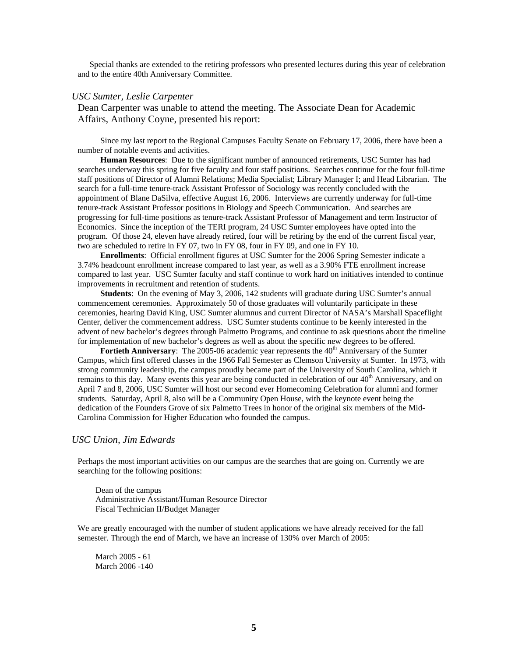Special thanks are extended to the retiring professors who presented lectures during this year of celebration and to the entire 40th Anniversary Committee.

#### *USC Sumter, Leslie Carpenter*

Dean Carpenter was unable to attend the meeting. The Associate Dean for Academic Affairs, Anthony Coyne, presented his report:

Since my last report to the Regional Campuses Faculty Senate on February 17, 2006, there have been a number of notable events and activities.

**Human Resources**: Due to the significant number of announced retirements, USC Sumter has had searches underway this spring for five faculty and four staff positions. Searches continue for the four full-time staff positions of Director of Alumni Relations; Media Specialist; Library Manager I; and Head Librarian. The search for a full-time tenure-track Assistant Professor of Sociology was recently concluded with the appointment of Blane DaSilva, effective August 16, 2006. Interviews are currently underway for full-time tenure-track Assistant Professor positions in Biology and Speech Communication. And searches are progressing for full-time positions as tenure-track Assistant Professor of Management and term Instructor of Economics. Since the inception of the TERI program, 24 USC Sumter employees have opted into the program. Of those 24, eleven have already retired, four will be retiring by the end of the current fiscal year, two are scheduled to retire in FY 07, two in FY 08, four in FY 09, and one in FY 10.

**Enrollments**: Official enrollment figures at USC Sumter for the 2006 Spring Semester indicate a 3.74% headcount enrollment increase compared to last year, as well as a 3.90% FTE enrollment increase compared to last year. USC Sumter faculty and staff continue to work hard on initiatives intended to continue improvements in recruitment and retention of students.

**Students**: On the evening of May 3, 2006, 142 students will graduate during USC Sumter's annual commencement ceremonies. Approximately 50 of those graduates will voluntarily participate in these ceremonies, hearing David King, USC Sumter alumnus and current Director of NASA's Marshall Spaceflight Center, deliver the commencement address. USC Sumter students continue to be keenly interested in the advent of new bachelor's degrees through Palmetto Programs, and continue to ask questions about the timeline for implementation of new bachelor's degrees as well as about the specific new degrees to be offered.

**Fortieth Anniversary**: The 2005-06 academic year represents the 40<sup>th</sup> Anniversary of the Sumter Campus, which first offered classes in the 1966 Fall Semester as Clemson University at Sumter. In 1973, with strong community leadership, the campus proudly became part of the University of South Carolina, which it remains to this day. Many events this year are being conducted in celebration of our 40<sup>th</sup> Anniversary, and on April 7 and 8, 2006, USC Sumter will host our second ever Homecoming Celebration for alumni and former students. Saturday, April 8, also will be a Community Open House, with the keynote event being the dedication of the Founders Grove of six Palmetto Trees in honor of the original six members of the Mid-Carolina Commission for Higher Education who founded the campus.

### *USC Union, Jim Edwards*

Perhaps the most important activities on our campus are the searches that are going on. Currently we are searching for the following positions:

Dean of the campus Administrative Assistant/Human Resource Director Fiscal Technician II/Budget Manager

We are greatly encouraged with the number of student applications we have already received for the fall semester. Through the end of March, we have an increase of 130% over March of 2005:

March 2005 - 61 March 2006 -140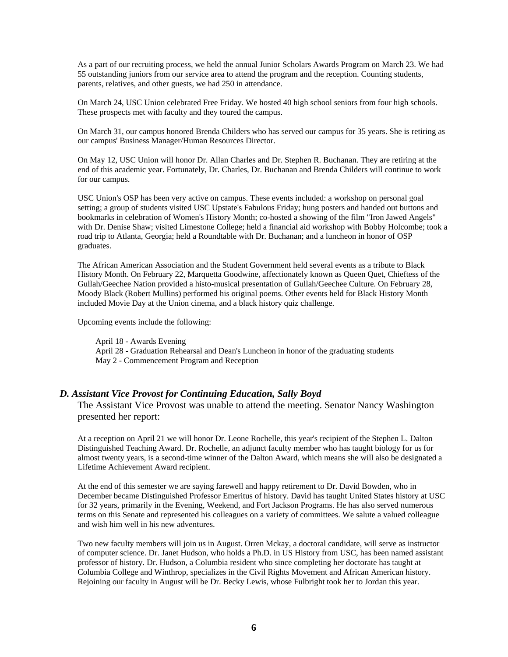As a part of our recruiting process, we held the annual Junior Scholars Awards Program on March 23. We had 55 outstanding juniors from our service area to attend the program and the reception. Counting students, parents, relatives, and other guests, we had 250 in attendance.

On March 24, USC Union celebrated Free Friday. We hosted 40 high school seniors from four high schools. These prospects met with faculty and they toured the campus.

On March 31, our campus honored Brenda Childers who has served our campus for 35 years. She is retiring as our campus' Business Manager/Human Resources Director.

On May 12, USC Union will honor Dr. Allan Charles and Dr. Stephen R. Buchanan. They are retiring at the end of this academic year. Fortunately, Dr. Charles, Dr. Buchanan and Brenda Childers will continue to work for our campus.

USC Union's OSP has been very active on campus. These events included: a workshop on personal goal setting; a group of students visited USC Upstate's Fabulous Friday; hung posters and handed out buttons and bookmarks in celebration of Women's History Month; co-hosted a showing of the film "Iron Jawed Angels" with Dr. Denise Shaw; visited Limestone College; held a financial aid workshop with Bobby Holcombe; took a road trip to Atlanta, Georgia; held a Roundtable with Dr. Buchanan; and a luncheon in honor of OSP graduates.

The African American Association and the Student Government held several events as a tribute to Black History Month. On February 22, Marquetta Goodwine, affectionately known as Queen Quet, Chieftess of the Gullah/Geechee Nation provided a histo-musical presentation of Gullah/Geechee Culture. On February 28, Moody Black (Robert Mullins) performed his original poems. Other events held for Black History Month included Movie Day at the Union cinema, and a black history quiz challenge.

Upcoming events include the following:

April 18 - Awards Evening April 28 - Graduation Rehearsal and Dean's Luncheon in honor of the graduating students May 2 - Commencement Program and Reception

## *D. Assistant Vice Provost for Continuing Education, Sally Boyd*

The Assistant Vice Provost was unable to attend the meeting. Senator Nancy Washington presented her report:

At a reception on April 21 we will honor Dr. Leone Rochelle, this year's recipient of the Stephen L. Dalton Distinguished Teaching Award. Dr. Rochelle, an adjunct faculty member who has taught biology for us for almost twenty years, is a second-time winner of the Dalton Award, which means she will also be designated a Lifetime Achievement Award recipient.

At the end of this semester we are saying farewell and happy retirement to Dr. David Bowden, who in December became Distinguished Professor Emeritus of history. David has taught United States history at USC for 32 years, primarily in the Evening, Weekend, and Fort Jackson Programs. He has also served numerous terms on this Senate and represented his colleagues on a variety of committees. We salute a valued colleague and wish him well in his new adventures.

Two new faculty members will join us in August. Orren Mckay, a doctoral candidate, will serve as instructor of computer science. Dr. Janet Hudson, who holds a Ph.D. in US History from USC, has been named assistant professor of history. Dr. Hudson, a Columbia resident who since completing her doctorate has taught at Columbia College and Winthrop, specializes in the Civil Rights Movement and African American history. Rejoining our faculty in August will be Dr. Becky Lewis, whose Fulbright took her to Jordan this year.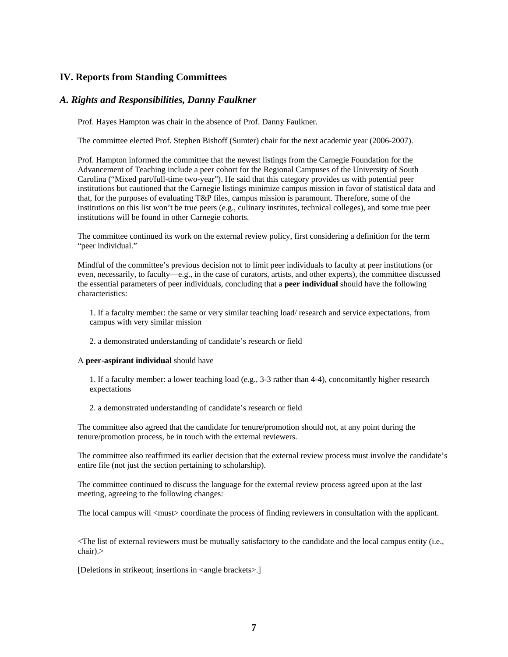## **IV. Reports from Standing Committees**

### *A. Rights and Responsibilities, Danny Faulkner*

Prof. Hayes Hampton was chair in the absence of Prof. Danny Faulkner.

The committee elected Prof. Stephen Bishoff (Sumter) chair for the next academic year (2006-2007).

Prof. Hampton informed the committee that the newest listings from the Carnegie Foundation for the Advancement of Teaching include a peer cohort for the Regional Campuses of the University of South Carolina ("Mixed part/full-time two-year"). He said that this category provides us with potential peer institutions but cautioned that the Carnegie listings minimize campus mission in favor of statistical data and that, for the purposes of evaluating T&P files, campus mission is paramount. Therefore, some of the institutions on this list won't be true peers (e.g., culinary institutes, technical colleges), and some true peer institutions will be found in other Carnegie cohorts.

The committee continued its work on the external review policy, first considering a definition for the term "peer individual."

Mindful of the committee's previous decision not to limit peer individuals to faculty at peer institutions (or even, necessarily, to faculty—e.g., in the case of curators, artists, and other experts), the committee discussed the essential parameters of peer individuals, concluding that a **peer individual** should have the following characteristics:

1. If a faculty member: the same or very similar teaching load/ research and service expectations, from campus with very similar mission

2. a demonstrated understanding of candidate's research or field

#### A **peer-aspirant individual** should have

1. If a faculty member: a lower teaching load (e.g., 3-3 rather than 4-4), concomitantly higher research expectations

2. a demonstrated understanding of candidate's research or field

The committee also agreed that the candidate for tenure/promotion should not, at any point during the tenure/promotion process, be in touch with the external reviewers.

The committee also reaffirmed its earlier decision that the external review process must involve the candidate's entire file (not just the section pertaining to scholarship).

The committee continued to discuss the language for the external review process agreed upon at the last meeting, agreeing to the following changes:

The local campus  $\frac{1}{2}$  <must coordinate the process of finding reviewers in consultation with the applicant.

<The list of external reviewers must be mutually satisfactory to the candidate and the local campus entity (i.e., chair).>

[Deletions in strikeout; insertions in <angle brackets>.]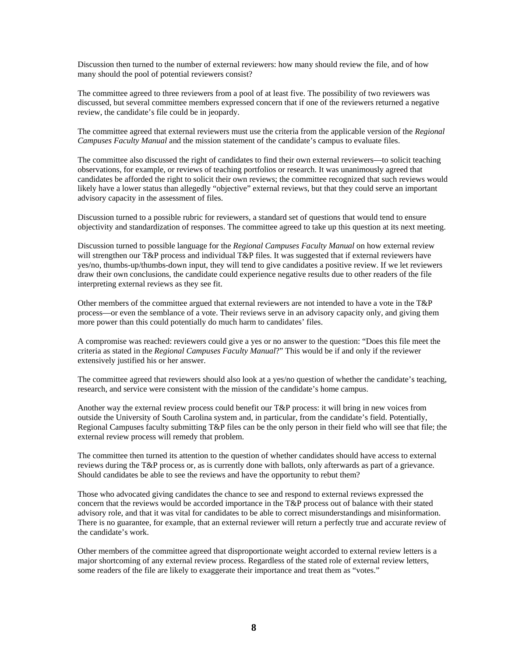Discussion then turned to the number of external reviewers: how many should review the file, and of how many should the pool of potential reviewers consist?

The committee agreed to three reviewers from a pool of at least five. The possibility of two reviewers was discussed, but several committee members expressed concern that if one of the reviewers returned a negative review, the candidate's file could be in jeopardy.

The committee agreed that external reviewers must use the criteria from the applicable version of the *Regional Campuses Faculty Manual* and the mission statement of the candidate's campus to evaluate files.

The committee also discussed the right of candidates to find their own external reviewers—to solicit teaching observations, for example, or reviews of teaching portfolios or research. It was unanimously agreed that candidates be afforded the right to solicit their own reviews; the committee recognized that such reviews would likely have a lower status than allegedly "objective" external reviews, but that they could serve an important advisory capacity in the assessment of files.

Discussion turned to a possible rubric for reviewers, a standard set of questions that would tend to ensure objectivity and standardization of responses. The committee agreed to take up this question at its next meeting.

Discussion turned to possible language for the *Regional Campuses Faculty Manual* on how external review will strengthen our T&P process and individual T&P files. It was suggested that if external reviewers have yes/no, thumbs-up/thumbs-down input, they will tend to give candidates a positive review. If we let reviewers draw their own conclusions, the candidate could experience negative results due to other readers of the file interpreting external reviews as they see fit.

Other members of the committee argued that external reviewers are not intended to have a vote in the T&P process—or even the semblance of a vote. Their reviews serve in an advisory capacity only, and giving them more power than this could potentially do much harm to candidates' files.

A compromise was reached: reviewers could give a yes or no answer to the question: "Does this file meet the criteria as stated in the *Regional Campuses Faculty Manual*?" This would be if and only if the reviewer extensively justified his or her answer.

The committee agreed that reviewers should also look at a yes/no question of whether the candidate's teaching, research, and service were consistent with the mission of the candidate's home campus.

Another way the external review process could benefit our T&P process: it will bring in new voices from outside the University of South Carolina system and, in particular, from the candidate's field. Potentially, Regional Campuses faculty submitting T&P files can be the only person in their field who will see that file; the external review process will remedy that problem.

The committee then turned its attention to the question of whether candidates should have access to external reviews during the T&P process or, as is currently done with ballots, only afterwards as part of a grievance. Should candidates be able to see the reviews and have the opportunity to rebut them?

Those who advocated giving candidates the chance to see and respond to external reviews expressed the concern that the reviews would be accorded importance in the T&P process out of balance with their stated advisory role, and that it was vital for candidates to be able to correct misunderstandings and misinformation. There is no guarantee, for example, that an external reviewer will return a perfectly true and accurate review of the candidate's work.

Other members of the committee agreed that disproportionate weight accorded to external review letters is a major shortcoming of any external review process. Regardless of the stated role of external review letters, some readers of the file are likely to exaggerate their importance and treat them as "votes."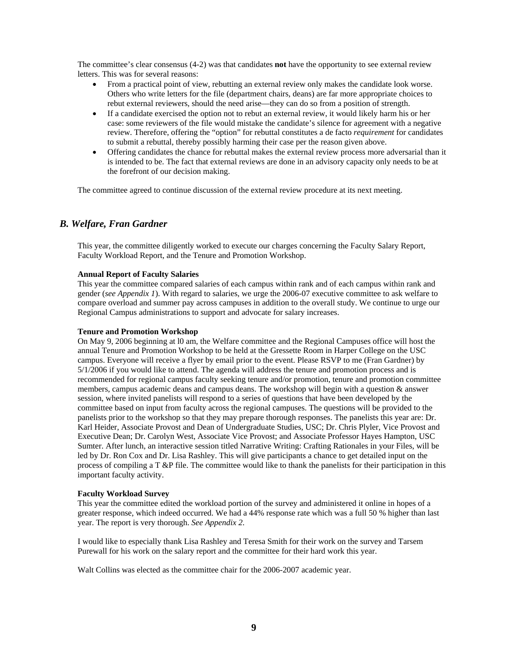The committee's clear consensus (4-2) was that candidates **not** have the opportunity to see external review letters. This was for several reasons:

- From a practical point of view, rebutting an external review only makes the candidate look worse. Others who write letters for the file (department chairs, deans) are far more appropriate choices to rebut external reviewers, should the need arise—they can do so from a position of strength.
- If a candidate exercised the option not to rebut an external review, it would likely harm his or her case: some reviewers of the file would mistake the candidate's silence for agreement with a negative review. Therefore, offering the "option" for rebuttal constitutes a de facto *requirement* for candidates to submit a rebuttal, thereby possibly harming their case per the reason given above.
- Offering candidates the chance for rebuttal makes the external review process more adversarial than it is intended to be. The fact that external reviews are done in an advisory capacity only needs to be at the forefront of our decision making.

The committee agreed to continue discussion of the external review procedure at its next meeting.

## *B. Welfare, Fran Gardner*

This year, the committee diligently worked to execute our charges concerning the Faculty Salary Report, Faculty Workload Report, and the Tenure and Promotion Workshop.

#### **Annual Report of Faculty Salaries**

This year the committee compared salaries of each campus within rank and of each campus within rank and gender (*see Appendix 1*). With regard to salaries, we urge the 2006-07 executive committee to ask welfare to compare overload and summer pay across campuses in addition to the overall study. We continue to urge our Regional Campus administrations to support and advocate for salary increases.

#### **Tenure and Promotion Workshop**

On May 9, 2006 beginning at l0 am, the Welfare committee and the Regional Campuses office will host the annual Tenure and Promotion Workshop to be held at the Gressette Room in Harper College on the USC campus. Everyone will receive a flyer by email prior to the event. Please RSVP to me (Fran Gardner) by 5/1/2006 if you would like to attend. The agenda will address the tenure and promotion process and is recommended for regional campus faculty seeking tenure and/or promotion, tenure and promotion committee members, campus academic deans and campus deans. The workshop will begin with a question & answer session, where invited panelists will respond to a series of questions that have been developed by the committee based on input from faculty across the regional campuses. The questions will be provided to the panelists prior to the workshop so that they may prepare thorough responses. The panelists this year are: Dr. Karl Heider, Associate Provost and Dean of Undergraduate Studies, USC; Dr. Chris Plyler, Vice Provost and Executive Dean; Dr. Carolyn West, Associate Vice Provost; and Associate Professor Hayes Hampton, USC Sumter. After lunch, an interactive session titled Narrative Writing: Crafting Rationales in your Files, will be led by Dr. Ron Cox and Dr. Lisa Rashley. This will give participants a chance to get detailed input on the process of compiling a T &P file. The committee would like to thank the panelists for their participation in this important faculty activity.

#### **Faculty Workload Survey**

This year the committee edited the workload portion of the survey and administered it online in hopes of a greater response, which indeed occurred. We had a 44% response rate which was a full 50 % higher than last year. The report is very thorough. *See Appendix 2*.

I would like to especially thank Lisa Rashley and Teresa Smith for their work on the survey and Tarsem Purewall for his work on the salary report and the committee for their hard work this year.

Walt Collins was elected as the committee chair for the 2006-2007 academic year.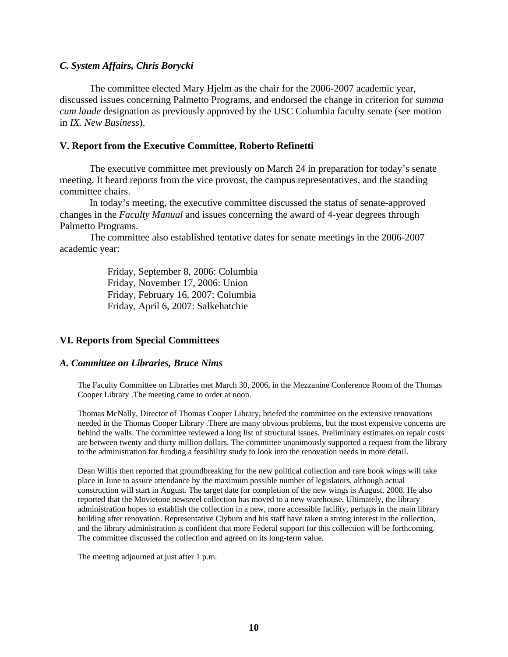## *C. System Affairs, Chris Borycki*

The committee elected Mary Hjelm as the chair for the 2006-2007 academic year, discussed issues concerning Palmetto Programs, and endorsed the change in criterion for *summa cum laude* designation as previously approved by the USC Columbia faculty senate (see motion in *IX. New Business*).

## **V. Report from the Executive Committee, Roberto Refinetti**

The executive committee met previously on March 24 in preparation for today's senate meeting. It heard reports from the vice provost, the campus representatives, and the standing committee chairs.

In today's meeting, the executive committee discussed the status of senate-approved changes in the *Faculty Manual* and issues concerning the award of 4-year degrees through Palmetto Programs.

The committee also established tentative dates for senate meetings in the 2006-2007 academic year:

> Friday, September 8, 2006: Columbia Friday, November 17, 2006: Union Friday, February 16, 2007: Columbia Friday, April 6, 2007: Salkehatchie

# **VI. Reports from Special Committees**

## *A. Committee on Libraries, Bruce Nims*

The Faculty Committee on Libraries met March 30, 2006, in the Mezzanine Conference Room of the Thomas Cooper Library .The meeting came to order at noon.

Thomas McNally, Director of Thomas Cooper Library, briefed the committee on the extensive renovations needed in the Thomas Cooper Library .There are many obvious problems, but the most expensive concerns are behind the walls. The committee reviewed a long list of structural issues. Preliminary estimates on repair costs are between twenty and thirty million dollars. The committee unanimously supported a request from the library to the administration for funding a feasibility study to look into the renovation needs in more detail.

Dean Willis then reported that groundbreaking for the new political collection and rare book wings will take place in June to assure attendance by the maximum possible number of legislators, although actual construction will start in August. The target date for completion of the new wings is August, 2008. He also reported that the Movietone newsreel collection has moved to a new warehouse. Ultimately, the library administration hopes to establish the collection in a new, more accessible facility, perhaps in the main library building after renovation. Representative Clybum and his staff have taken a strong interest in the collection, and the library administration is confident that more Federal support for this collection will be forthcoming. The committee discussed the collection and agreed on its long-term value.

The meeting adjourned at just after 1 p.m.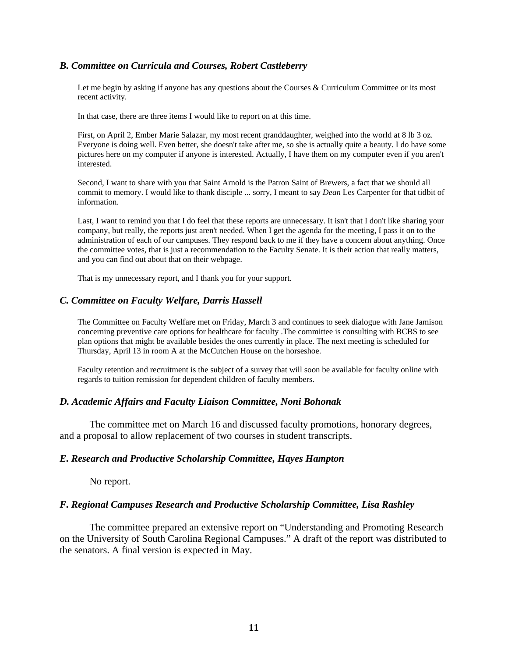## *B. Committee on Curricula and Courses, Robert Castleberry*

Let me begin by asking if anyone has any questions about the Courses & Curriculum Committee or its most recent activity.

In that case, there are three items I would like to report on at this time.

First, on April 2, Ember Marie Salazar, my most recent granddaughter, weighed into the world at 8 lb 3 oz. Everyone is doing well. Even better, she doesn't take after me, so she is actually quite a beauty. I do have some pictures here on my computer if anyone is interested. Actually, I have them on my computer even if you aren't interested.

Second, I want to share with you that Saint Arnold is the Patron Saint of Brewers, a fact that we should all commit to memory. I would like to thank disciple ... sorry, I meant to say *Dean* Les Carpenter for that tidbit of information.

Last, I want to remind you that I do feel that these reports are unnecessary. It isn't that I don't like sharing your company, but really, the reports just aren't needed. When I get the agenda for the meeting, I pass it on to the administration of each of our campuses. They respond back to me if they have a concern about anything. Once the committee votes, that is just a recommendation to the Faculty Senate. It is their action that really matters, and you can find out about that on their webpage.

That is my unnecessary report, and I thank you for your support.

#### *C. Committee on Faculty Welfare, Darris Hassell*

The Committee on Faculty Welfare met on Friday, March 3 and continues to seek dialogue with Jane Jamison concerning preventive care options for healthcare for faculty .The committee is consulting with BCBS to see plan options that might be available besides the ones currently in place. The next meeting is scheduled for Thursday, April 13 in room A at the McCutchen House on the horseshoe.

Faculty retention and recruitment is the subject of a survey that will soon be available for faculty online with regards to tuition remission for dependent children of faculty members.

#### *D. Academic Affairs and Faculty Liaison Committee, Noni Bohonak*

The committee met on March 16 and discussed faculty promotions, honorary degrees, and a proposal to allow replacement of two courses in student transcripts.

#### *E. Research and Productive Scholarship Committee, Hayes Hampton*

No report.

#### *F. Regional Campuses Research and Productive Scholarship Committee, Lisa Rashley*

The committee prepared an extensive report on "Understanding and Promoting Research on the University of South Carolina Regional Campuses." A draft of the report was distributed to the senators. A final version is expected in May.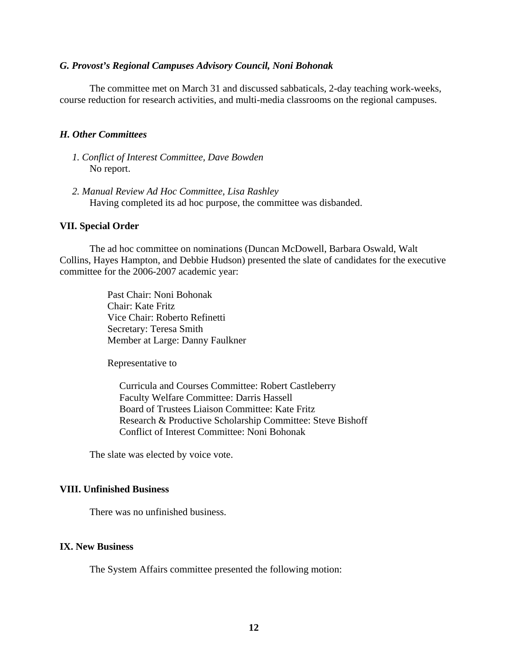### *G. Provost's Regional Campuses Advisory Council, Noni Bohonak*

The committee met on March 31 and discussed sabbaticals, 2-day teaching work-weeks, course reduction for research activities, and multi-media classrooms on the regional campuses.

### *H. Other Committees*

- *1. Conflict of Interest Committee, Dave Bowden*  No report.
- *2. Manual Review Ad Hoc Committee, Lisa Rashley*  Having completed its ad hoc purpose, the committee was disbanded.

#### **VII. Special Order**

The ad hoc committee on nominations (Duncan McDowell, Barbara Oswald, Walt Collins, Hayes Hampton, and Debbie Hudson) presented the slate of candidates for the executive committee for the 2006-2007 academic year:

> Past Chair: Noni Bohonak Chair: Kate Fritz Vice Chair: Roberto Refinetti Secretary: Teresa Smith Member at Large: Danny Faulkner

Representative to

Curricula and Courses Committee: Robert Castleberry Faculty Welfare Committee: Darris Hassell Board of Trustees Liaison Committee: Kate Fritz Research & Productive Scholarship Committee: Steve Bishoff Conflict of Interest Committee: Noni Bohonak

The slate was elected by voice vote.

# **VIII. Unfinished Business**

There was no unfinished business.

#### **IX. New Business**

The System Affairs committee presented the following motion: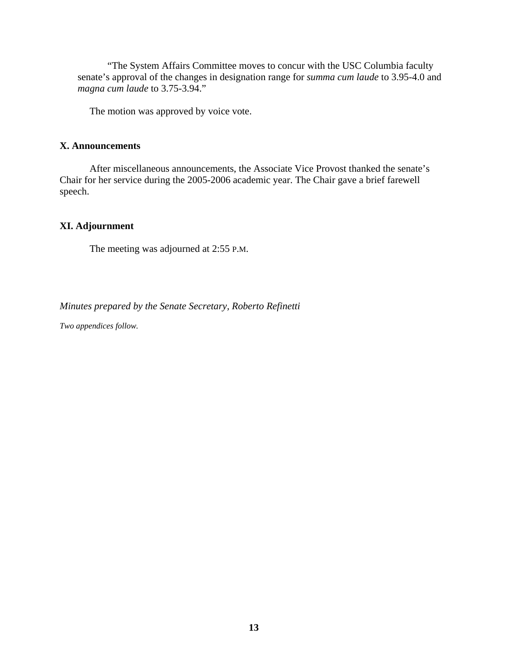"The System Affairs Committee moves to concur with the USC Columbia faculty senate's approval of the changes in designation range for *summa cum laude* to 3.95-4.0 and *magna cum laude* to 3.75-3.94."

The motion was approved by voice vote.

## **X. Announcements**

After miscellaneous announcements, the Associate Vice Provost thanked the senate's Chair for her service during the 2005-2006 academic year. The Chair gave a brief farewell speech.

# **XI. Adjournment**

The meeting was adjourned at 2:55 P.M.

*Minutes prepared by the Senate Secretary, Roberto Refinetti* 

*Two appendices follow.*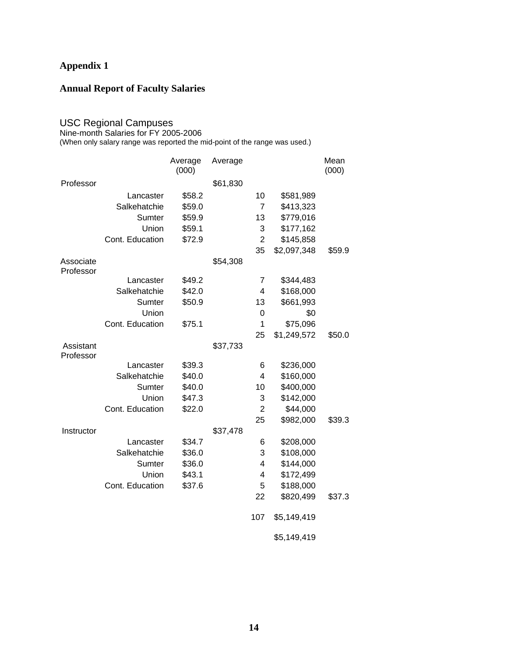# **Appendix 1**

# **Annual Report of Faculty Salaries**

### USC Regional Campuses

Nine-month Salaries for FY 2005-2006

(When only salary range was reported the mid-point of the range was used.)

|                        |                 | Average<br>(000) | Average  |                |             | Mean<br>(000) |
|------------------------|-----------------|------------------|----------|----------------|-------------|---------------|
| Professor              |                 |                  | \$61,830 |                |             |               |
|                        | Lancaster       | \$58.2           |          | 10             | \$581,989   |               |
|                        | Salkehatchie    | \$59.0           |          | $\overline{7}$ | \$413,323   |               |
|                        | Sumter          | \$59.9           |          | 13             | \$779,016   |               |
|                        | Union           | \$59.1           |          | 3              | \$177,162   |               |
|                        | Cont. Education | \$72.9           |          | $\overline{2}$ | \$145,858   |               |
|                        |                 |                  |          | 35             | \$2,097,348 | \$59.9        |
| Associate<br>Professor |                 |                  | \$54,308 |                |             |               |
|                        | Lancaster       | \$49.2           |          | 7              | \$344,483   |               |
|                        | Salkehatchie    | \$42.0           |          | 4              | \$168,000   |               |
|                        | Sumter          | \$50.9           |          | 13             | \$661,993   |               |
|                        | Union           |                  |          | 0              | \$0         |               |
|                        | Cont. Education | \$75.1           |          | 1              | \$75,096    |               |
|                        |                 |                  |          | 25             | \$1,249,572 | \$50.0        |
| Assistant<br>Professor |                 |                  | \$37,733 |                |             |               |
|                        | Lancaster       | \$39.3           |          | 6              | \$236,000   |               |
|                        | Salkehatchie    | \$40.0           |          | 4              | \$160,000   |               |
|                        | Sumter          | \$40.0           |          | 10             | \$400,000   |               |
|                        | Union           | \$47.3           |          | 3              | \$142,000   |               |
|                        | Cont. Education | \$22.0           |          | $\overline{2}$ | \$44,000    |               |
|                        |                 |                  |          | 25             | \$982,000   | \$39.3        |
| Instructor             |                 |                  | \$37,478 |                |             |               |
|                        | Lancaster       | \$34.7           |          | 6              | \$208,000   |               |
|                        | Salkehatchie    | \$36.0           |          | 3              | \$108,000   |               |
|                        | Sumter          | \$36.0           |          | 4              | \$144,000   |               |
|                        | Union           | \$43.1           |          | 4              | \$172,499   |               |
|                        | Cont. Education | \$37.6           |          | 5              | \$188,000   |               |
|                        |                 |                  |          | 22             | \$820,499   | \$37.3        |
|                        |                 |                  |          | 107            | \$5,149,419 |               |
|                        |                 |                  |          |                | \$5,149,419 |               |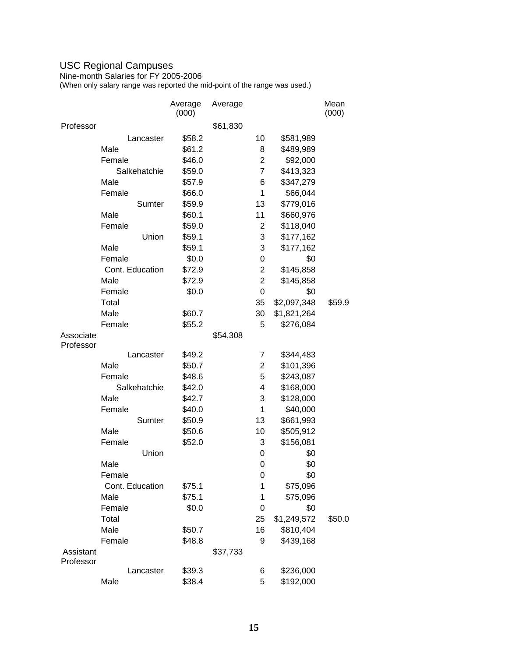## USC Regional Campuses

Nine-month Salaries for FY 2005-2006

(When only salary range was reported the mid-point of the range was used.)

|           |                 | Average<br>(000) | Average  |                |             | Mean<br>(000) |
|-----------|-----------------|------------------|----------|----------------|-------------|---------------|
| Professor |                 |                  | \$61,830 |                |             |               |
|           | Lancaster       | \$58.2           |          | 10             | \$581,989   |               |
|           | Male            | \$61.2           |          | 8              | \$489,989   |               |
|           | Female          | \$46.0           |          | $\overline{2}$ | \$92,000    |               |
|           | Salkehatchie    | \$59.0           |          | $\overline{7}$ | \$413,323   |               |
|           | Male            | \$57.9           |          | 6              | \$347,279   |               |
|           | Female          | \$66.0           |          | 1              | \$66,044    |               |
|           | Sumter          | \$59.9           |          | 13             | \$779,016   |               |
|           | Male            | \$60.1           |          | 11             | \$660,976   |               |
|           | Female          | \$59.0           |          | $\overline{2}$ | \$118,040   |               |
|           | Union           | \$59.1           |          | 3              | \$177,162   |               |
|           | Male            | \$59.1           |          | 3              | \$177,162   |               |
|           | Female          | \$0.0            |          | 0              | \$0         |               |
|           | Cont. Education | \$72.9           |          | $\overline{2}$ | \$145,858   |               |
|           | Male            | \$72.9           |          | $\mathbf 2$    | \$145,858   |               |
|           | Female          | \$0.0            |          | 0              | \$0         |               |
|           | Total           |                  |          | 35             | \$2,097,348 | \$59.9        |
|           | Male            | \$60.7           |          | 30             | \$1,821,264 |               |
|           | Female          | \$55.2           |          | 5              | \$276,084   |               |
| Associate |                 |                  | \$54,308 |                |             |               |
| Professor |                 |                  |          |                |             |               |
|           | Lancaster       | \$49.2           |          | 7              | \$344,483   |               |
|           | Male            | \$50.7           |          | $\overline{2}$ | \$101,396   |               |
|           | Female          | \$48.6           |          | 5              | \$243,087   |               |
|           | Salkehatchie    | \$42.0           |          | 4              | \$168,000   |               |
|           | Male            | \$42.7           |          | 3              | \$128,000   |               |
|           | Female          | \$40.0           |          | 1              | \$40,000    |               |
|           | Sumter          | \$50.9           |          | 13             | \$661,993   |               |
|           | Male            | \$50.6           |          | 10             | \$505,912   |               |
|           | Female          | \$52.0           |          | 3              | \$156,081   |               |
|           | Union           |                  |          | 0              | \$0         |               |
|           | Male            |                  |          | 0              | \$0         |               |
|           | Female          |                  |          | 0              | \$0         |               |
|           | Cont. Education | \$75.1           |          | 1              | \$75,096    |               |
|           | Male            | \$75.1           |          | 1              | \$75,096    |               |
|           | Female          | \$0.0            |          | 0              | \$0         |               |
|           | Total           |                  |          | 25             | \$1,249,572 | \$50.0        |
|           | Male            | \$50.7           |          | 16             | \$810,404   |               |
|           | Female          | \$48.8           |          | 9              | \$439,168   |               |
| Assistant |                 |                  | \$37,733 |                |             |               |
| Professor |                 |                  |          |                |             |               |
|           | Lancaster       | \$39.3           |          | 6              | \$236,000   |               |
|           | Male            | \$38.4           |          | 5              | \$192,000   |               |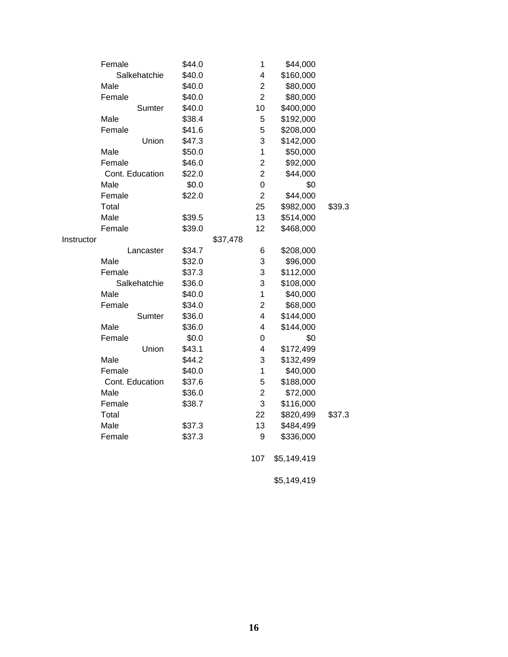|            | Female          | \$44.0 |          | 1                       | \$44,000    |        |
|------------|-----------------|--------|----------|-------------------------|-------------|--------|
|            | Salkehatchie    | \$40.0 |          | 4                       | \$160,000   |        |
|            | Male            | \$40.0 |          | $\overline{c}$          | \$80,000    |        |
|            | Female          | \$40.0 |          | $\overline{2}$          | \$80,000    |        |
|            | Sumter          | \$40.0 |          | 10                      | \$400,000   |        |
|            | Male            | \$38.4 |          | 5                       | \$192,000   |        |
|            | Female          | \$41.6 |          | 5                       | \$208,000   |        |
|            | Union           | \$47.3 |          | 3                       | \$142,000   |        |
|            | Male            | \$50.0 |          | 1                       | \$50,000    |        |
|            | Female          | \$46.0 |          | $\overline{\mathbf{c}}$ | \$92,000    |        |
|            | Cont. Education | \$22.0 |          | $\overline{2}$          | \$44,000    |        |
|            | Male            | \$0.0  |          | 0                       | \$0         |        |
|            | Female          | \$22.0 |          | $\overline{2}$          | \$44,000    |        |
|            | Total           |        |          | 25                      | \$982,000   | \$39.3 |
|            | Male            | \$39.5 |          | 13                      | \$514,000   |        |
|            | Female          | \$39.0 |          | 12                      | \$468,000   |        |
| Instructor |                 |        | \$37,478 |                         |             |        |
|            | Lancaster       | \$34.7 |          | 6                       | \$208,000   |        |
|            | Male            | \$32.0 |          | 3                       | \$96,000    |        |
|            | Female          | \$37.3 |          | 3                       | \$112,000   |        |
|            | Salkehatchie    | \$36.0 |          | 3                       | \$108,000   |        |
|            | Male            | \$40.0 |          | 1                       | \$40,000    |        |
|            | Female          | \$34.0 |          | $\overline{2}$          | \$68,000    |        |
|            | Sumter          | \$36.0 |          | 4                       | \$144,000   |        |
|            | Male            | \$36.0 |          | 4                       | \$144,000   |        |
|            | Female          | \$0.0  |          | 0                       | \$0         |        |
|            | Union           | \$43.1 |          | 4                       | \$172,499   |        |
|            | Male            | \$44.2 |          | 3                       | \$132,499   |        |
|            | Female          | \$40.0 |          | $\mathbf{1}$            | \$40,000    |        |
|            | Cont. Education | \$37.6 |          | 5                       | \$188,000   |        |
|            | Male            | \$36.0 |          | $\overline{2}$          | \$72,000    |        |
|            | Female          | \$38.7 |          | 3                       | \$116,000   |        |
|            | Total           |        |          | 22                      | \$820,499   | \$37.3 |
|            | Male            | \$37.3 |          | 13                      | \$484,499   |        |
|            | Female          | \$37.3 |          | 9                       | \$336,000   |        |
|            |                 |        |          | 107                     | \$5,149,419 |        |
|            |                 |        |          |                         |             |        |

\$5,149,419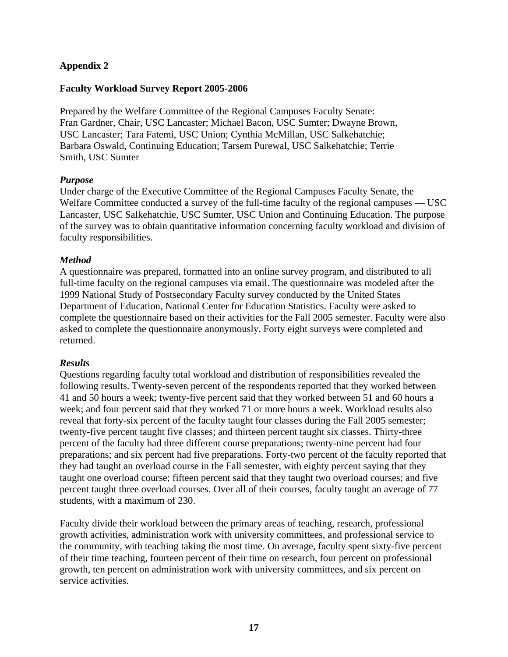# **Appendix 2**

# **Faculty Workload Survey Report 2005-2006**

Prepared by the Welfare Committee of the Regional Campuses Faculty Senate: Fran Gardner, Chair, USC Lancaster; Michael Bacon, USC Sumter; Dwayne Brown, USC Lancaster; Tara Fatemi, USC Union; Cynthia McMillan, USC Salkehatchie; Barbara Oswald, Continuing Education; Tarsem Purewal, USC Salkehatchie; Terrie Smith, USC Sumter

## *Purpose*

Under charge of the Executive Committee of the Regional Campuses Faculty Senate, the Welfare Committee conducted a survey of the full-time faculty of the regional campuses — USC Lancaster, USC Salkehatchie, USC Sumter, USC Union and Continuing Education. The purpose of the survey was to obtain quantitative information concerning faculty workload and division of faculty responsibilities.

# *Method*

A questionnaire was prepared, formatted into an online survey program, and distributed to all full-time faculty on the regional campuses via email. The questionnaire was modeled after the 1999 National Study of Postsecondary Faculty survey conducted by the United States Department of Education, National Center for Education Statistics. Faculty were asked to complete the questionnaire based on their activities for the Fall 2005 semester. Faculty were also asked to complete the questionnaire anonymously. Forty eight surveys were completed and returned.

## *Results*

Questions regarding faculty total workload and distribution of responsibilities revealed the following results. Twenty-seven percent of the respondents reported that they worked between 41 and 50 hours a week; twenty-five percent said that they worked between 51 and 60 hours a week; and four percent said that they worked 71 or more hours a week. Workload results also reveal that forty-six percent of the faculty taught four classes during the Fall 2005 semester; twenty-five percent taught five classes; and thirteen percent taught six classes. Thirty-three percent of the faculty had three different course preparations; twenty-nine percent had four preparations; and six percent had five preparations. Forty-two percent of the faculty reported that they had taught an overload course in the Fall semester, with eighty percent saying that they taught one overload course; fifteen percent said that they taught two overload courses; and five percent taught three overload courses. Over all of their courses, faculty taught an average of 77 students, with a maximum of 230.

Faculty divide their workload between the primary areas of teaching, research, professional growth activities, administration work with university committees, and professional service to the community, with teaching taking the most time. On average, faculty spent sixty-five percent of their time teaching, fourteen percent of their time on research, four percent on professional growth, ten percent on administration work with university committees, and six percent on service activities.